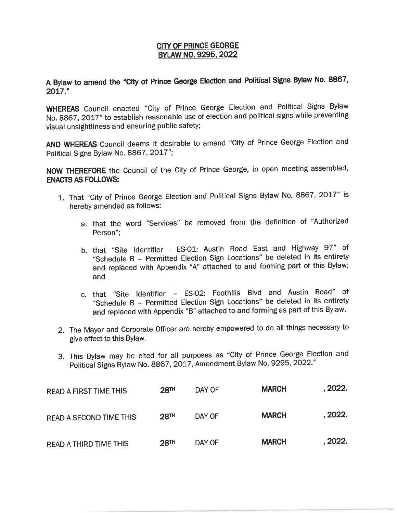## **CITY OF PRINCE GEORGE BYLAW NO. 9295, 2022**

**<sup>A</sup>Bylaw to amend the "City of Prince George Election and Political Signs Bylaw No. 8867, 2017."** 

**WHEREAS** Council enacted "City of Prince George Election and Political Signs Bylaw No. 8867, 2017" to establish reasonable use of election and political signs while preventing visual unsightliness and ensuring public safety;

**AND WHEREAS** Council deems it desirable to amend "City of Prince George Election and Political Signs Bylaw No. 8867, 2017";

**NOW THEREFORE** the Council of the City of Prince George, in open meeting assembled, **ENACTS AS FOLLOWS:** 

- 1. That "City of Prince George Election and Political Signs Bylaw No. 8867, 2017" is hereby amended as follows:
	- a. that the word "Services" be removed from the definition of "Authorized Person";
	- b. that "Site Identifier ES-01: Austin Road East and Highway 97'' of "Schedule B - Permitted Election Sign Locations" be deleted in its entirety and replaced with Appendix "A" attached to and forming part of this Bylaw; and
	- c. that "Site Identifier ES-02: Foothills Blvd and Austin Road" of "Schedule B - Permitted Election Sign Locations" be deleted in its entirety and replaced with Appendix "B" attached to and forming as part of this Bylaw.
- 2. The Mayor and Corporate Officer are hereby empowered to do all things necessary to give effect to this Bylaw.
- 3. This Bylaw may be cited for all purposes as "City of Prince George Election and Political Signs Bylaw No. 8867, 2017, Amendment Bylaw No. 9295, 2022."

| <b>READ A FIRST TIME THIS</b> | 28 <sup>TH</sup> | DAY OF | <b>MARCH</b> | . 2022. |
|-------------------------------|------------------|--------|--------------|---------|
| READ A SECOND TIME THIS       | 28 <sup>TH</sup> | DAY OF | <b>MARCH</b> | . 2022. |
| <b>READ A THIRD TIME THIS</b> | 28 <sup>TH</sup> | DAY OF | <b>MARCH</b> | . 2022. |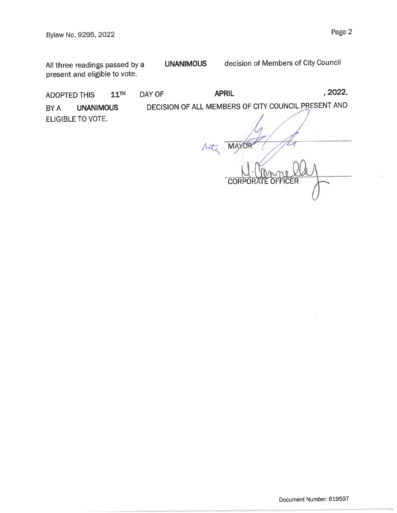All three readings passed by a present and eligible to vote.

ADOPTED THIS  $11^{TH}$  DAY OF **APRIL APRIL** , 2022.

**UNANIMOUS** 

BY A **UNANIMOUS** DECISION OF ALL MEMBERS OF CITY COUNCIL PRESENT AND ELIGIBLE TO VOTE.

Acts MAYOR :FR

decision of Members of City Council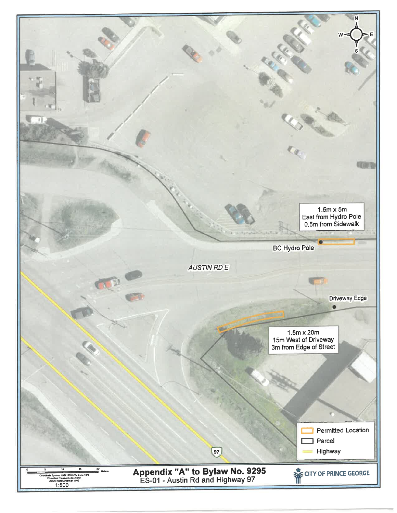